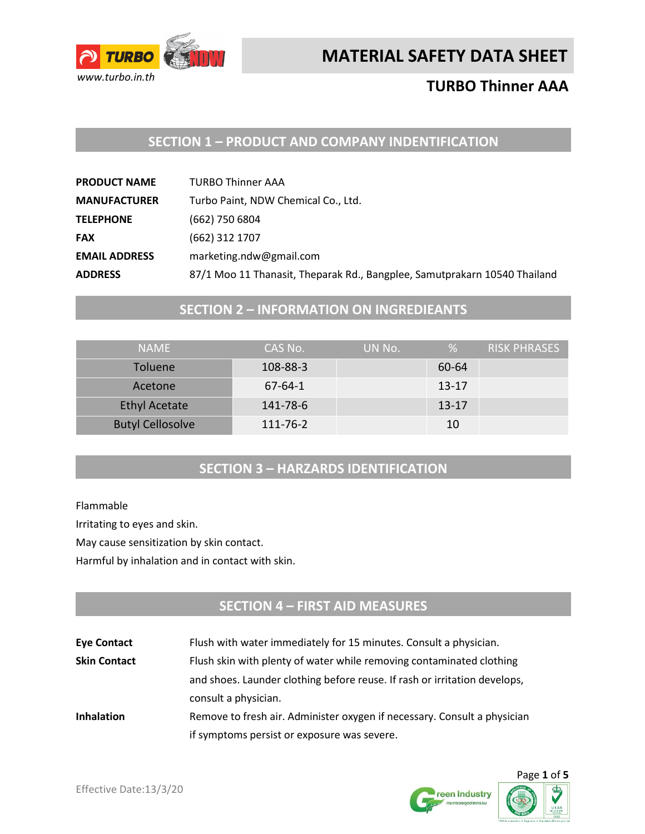

# **TURBO Thinner AAA**

### **SECTION 1 – PRODUCT AND COMPANY INDENTIFICATION**

| <b>PRODUCT NAME</b>  | <b>TURBO Thinner AAA</b>                                                  |
|----------------------|---------------------------------------------------------------------------|
| <b>MANUFACTURER</b>  | Turbo Paint, NDW Chemical Co., Ltd.                                       |
| <b>TELEPHONE</b>     | (662) 750 6804                                                            |
| <b>FAX</b>           | (662) 312 1707                                                            |
| <b>EMAIL ADDRESS</b> | marketing.ndw@gmail.com                                                   |
| <b>ADDRESS</b>       | 87/1 Moo 11 Thanasit, Theparak Rd., Bangplee, Samutprakarn 10540 Thailand |

# **SECTION 2 – INFORMATION ON INGREDIEANTS**

| <b>NAMF</b>             | CAS No.       | UN No. | %         | RISK PHRASES |
|-------------------------|---------------|--------|-----------|--------------|
| <b>Toluene</b>          | 108-88-3      |        | 60-64     |              |
| Acetone                 | $67 - 64 - 1$ |        | $13 - 17$ |              |
| <b>Ethyl Acetate</b>    | 141-78-6      |        | $13 - 17$ |              |
| <b>Butyl Cellosolve</b> | 111-76-2      |        | 10        |              |

### **SECTION 3 – HARZARDS IDENTIFICATION**

Flammable

Irritating to eyes and skin.

May cause sensitization by skin contact.

Harmful by inhalation and in contact with skin.

# **SECTION 4 – FIRST AID MEASURES**

| <b>Eye Contact</b>  | Flush with water immediately for 15 minutes. Consult a physician.         |  |
|---------------------|---------------------------------------------------------------------------|--|
| <b>Skin Contact</b> | Flush skin with plenty of water while removing contaminated clothing      |  |
|                     | and shoes. Launder clothing before reuse. If rash or irritation develops, |  |
|                     | consult a physician.                                                      |  |
| <b>Inhalation</b>   | Remove to fresh air. Administer oxygen if necessary. Consult a physician  |  |
|                     | if symptoms persist or exposure was severe.                               |  |



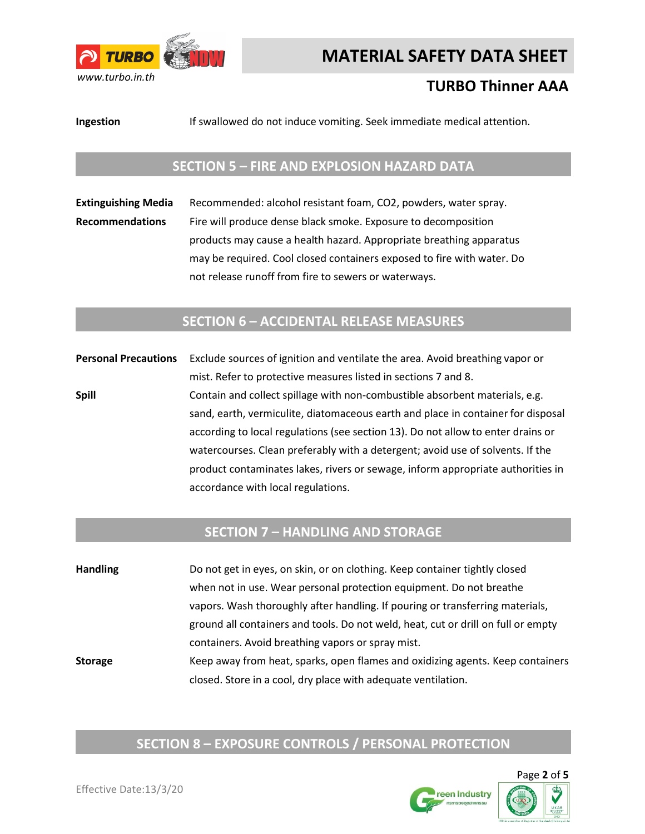

# **TURBO Thinner AAA**

**Ingestion** If swallowed do not induce vomiting. Seek immediate medical attention.

#### **SECTION 5 – FIRE AND EXPLOSION HAZARD DATA**

**Extinguishing Media** Recommended: alcohol resistant foam, CO2, powders, water spray. **Recommendations** Fire will produce dense black smoke. Exposure to decomposition products may cause a health hazard. Appropriate breathing apparatus may be required. Cool closed containers exposed to fire with water. Do not release runoff from fire to sewers or waterways.

#### **SECTION 6 – ACCIDENTAL RELEASE MEASURES**

**Personal Precautions** Exclude sources of ignition and ventilate the area. Avoid breathing vapor or mist. Refer to protective measures listed in sections 7 and 8. **Spill Spill** Contain and collect spillage with non-combustible absorbent materials, e.g. sand, earth, vermiculite, diatomaceous earth and place in container for disposal according to local regulations (see section 13). Do not allow to enter drains or watercourses. Clean preferably with a detergent; avoid use of solvents. If the product contaminates lakes, rivers or sewage, inform appropriate authorities in accordance with local regulations.

#### **SECTION 7 – HANDLING AND STORAGE**

**Handling** Do not get in eyes, on skin, or on clothing. Keep container tightly closed when not in use. Wear personal protection equipment. Do not breathe vapors. Wash thoroughly after handling. If pouring or transferring materials, ground all containers and tools. Do not weld, heat, cut or drill on full or empty containers. Avoid breathing vapors or spray mist. **Storage** Keep away from heat, sparks, open flames and oxidizing agents. Keep containers closed. Store in a cool, dry place with adequate ventilation.

# **SECTION 8 – EXPOSURE CONTROLS / PERSONAL PROTECTION**

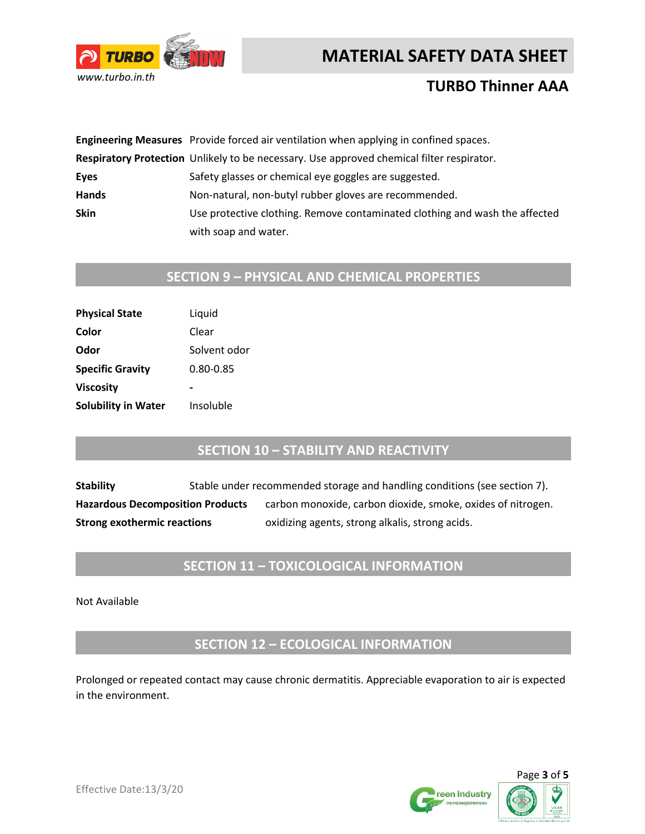



### **TURBO Thinner AAA**

|              | Engineering Measures Provide forced air ventilation when applying in confined spaces.     |
|--------------|-------------------------------------------------------------------------------------------|
|              | Respiratory Protection Unlikely to be necessary. Use approved chemical filter respirator. |
| Eyes         | Safety glasses or chemical eye goggles are suggested.                                     |
| <b>Hands</b> | Non-natural, non-butyl rubber gloves are recommended.                                     |
| <b>Skin</b>  | Use protective clothing. Remove contaminated clothing and wash the affected               |
|              | with soap and water.                                                                      |

# **SECTION 9 – PHYSICAL AND CHEMICAL PROPERTIES**

| Liquid       |
|--------------|
| Clear        |
| Solvent odor |
| 0.80-0.85    |
|              |
| Insoluble    |
|              |

#### **SECTION 10 – STABILITY AND REACTIVITY**

**Stability** Stable under recommended storage and handling conditions (see section 7). Hazardous Decomposition Products carbon monoxide, carbon dioxide, smoke, oxides of nitrogen. **Strong exothermic reactions** oxidizing agents, strong alkalis, strong acids.

#### **SECTION 11 – TOXICOLOGICAL INFORMATION**

Not Available

**SECTION 12 – ECOLOGICAL INFORMATION**

Prolonged or repeated contact may cause chronic dermatitis. Appreciable evaporation to air is expected in the environment.



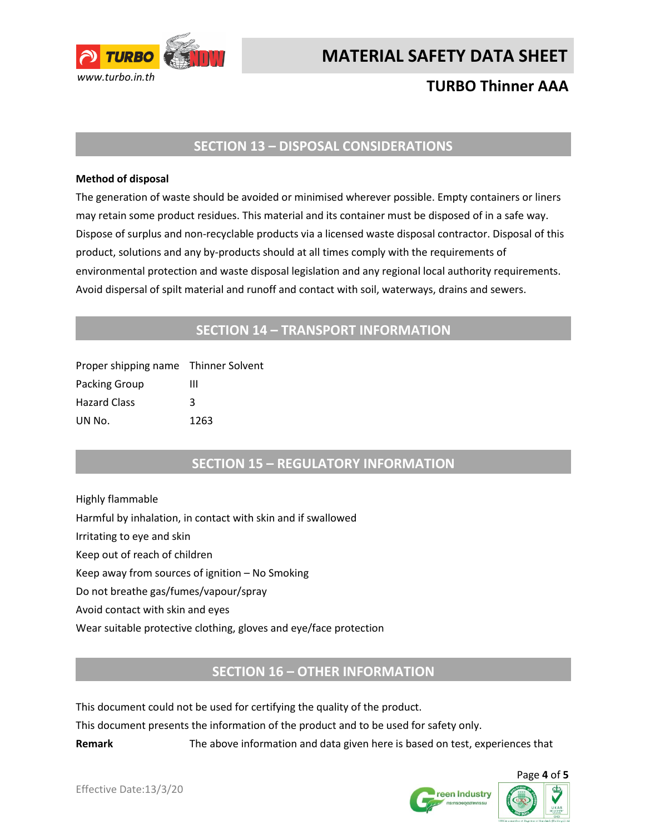

# **TURBO Thinner AAA**

#### **SECTION 13 – DISPOSAL CONSIDERATIONS**

#### **Method of disposal**

The generation of waste should be avoided or minimised wherever possible. Empty containers or liners may retain some product residues. This material and its container must be disposed of in a safe way. Dispose of surplus and non-recyclable products via a licensed waste disposal contractor. Disposal of this product, solutions and any by-products should at all times comply with the requirements of environmental protection and waste disposal legislation and any regional local authority requirements. Avoid dispersal of spilt material and runoff and contact with soil, waterways, drains and sewers.

#### **SECTION 14 – TRANSPORT INFORMATION**

| Proper shipping name Thinner Solvent |      |
|--------------------------------------|------|
| Packing Group                        | ш    |
| <b>Hazard Class</b>                  | κ    |
| UN No.                               | 1263 |

#### **SECTION 15 – REGULATORY INFORMATION**

Highly flammable Harmful by inhalation, in contact with skin and if swallowed Irritating to eye and skin Keep out of reach of children Keep away from sources of ignition – No Smoking Do not breathe gas/fumes/vapour/spray Avoid contact with skin and eyes Wear suitable protective clothing, gloves and eye/face protection

#### **SECTION 16 – OTHER INFORMATION**

This document could not be used for certifying the quality of the product.

This document presents the information of the product and to be used for safety only.

**Remark** The above information and data given here is based on test, experiences that



Page **4** of **5**